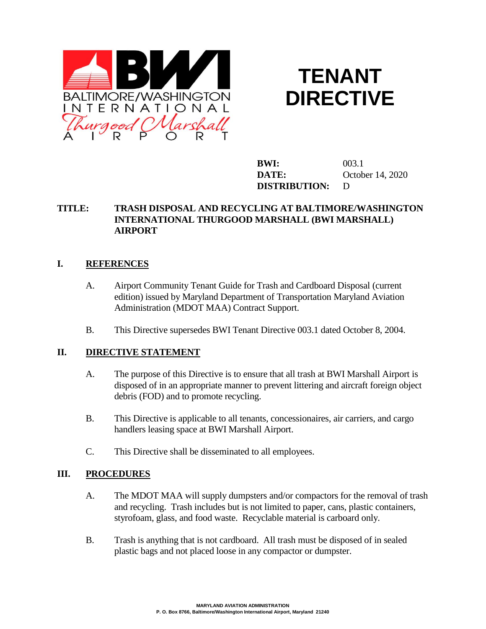

# **TENANT DIRECTIVE**

**BWI:** 003.1 **DATE:** October 14, 2020 **DISTRIBUTION:** D

### **TITLE: TRASH DISPOSAL AND RECYCLING AT BALTIMORE/WASHINGTON INTERNATIONAL THURGOOD MARSHALL (BWI MARSHALL) AIRPORT**

# **I. REFERENCES**

- A. Airport Community Tenant Guide for Trash and Cardboard Disposal (current edition) issued by Maryland Department of Transportation Maryland Aviation Administration (MDOT MAA) Contract Support.
- B. This Directive supersedes BWI Tenant Directive 003.1 dated October 8, 2004.

#### **II. DIRECTIVE STATEMENT**

- A. The purpose of this Directive is to ensure that all trash at BWI Marshall Airport is disposed of in an appropriate manner to prevent littering and aircraft foreign object debris (FOD) and to promote recycling.
- B. This Directive is applicable to all tenants, concessionaires, air carriers, and cargo handlers leasing space at BWI Marshall Airport.
- C. This Directive shall be disseminated to all employees.

#### **III. PROCEDURES**

- A. The MDOT MAA will supply dumpsters and/or compactors for the removal of trash and recycling. Trash includes but is not limited to paper, cans, plastic containers, styrofoam, glass, and food waste. Recyclable material is carboard only.
- B. Trash is anything that is not cardboard. All trash must be disposed of in sealed plastic bags and not placed loose in any compactor or dumpster.